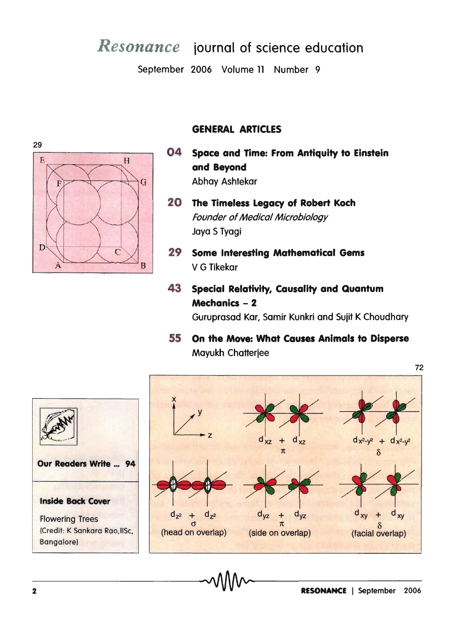## *Resonance* iournal of science education

September 2006 Volume 11 Number 9



- 04 Space and Time: From Antiquity to Einstein H and Beyond Abhay Ashtekar G
	- 20 The Timeless Legacy of Robert Koch Founder of Medical Microbiology Jaya S Tyagi
	- 29 Some Interesting Mathematical Gems V G Tikekar
	- 43 Special Relativity, Causality and Quantum Mechanics - 2 Guruprasad Kar, Samir Kunkri and Sujit K Choudhary
	- 55 On the Move: What Causes Animals to Disperse Mayukh Chatterjee





29